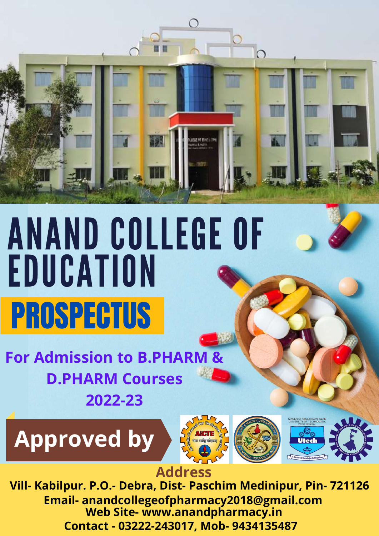

# ANAND COLLEGE OF EDUCATION PROSPECTUS

 **For Admission to B.PHAR D.PHARM Courses 2022-23**







#### **Address**

**Vill- Kabilpur. P.O.- Debra, Dist- Paschim Medinipur, Pin- 721126 Email- anandcollegeofpharmacy2018@gmail.com Web Site- www.anandpharmacy.in Contact - 03222-243017, Mob- 9434135487**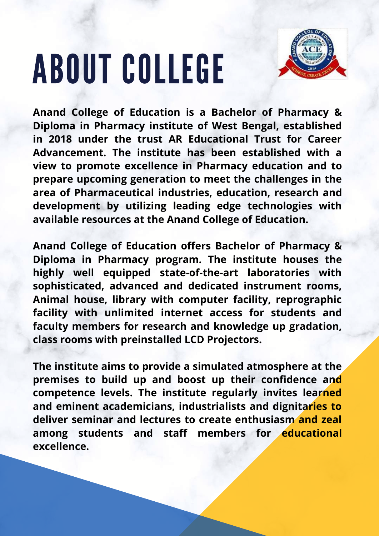# ABOUT COLLEGE



**Anand College of Education is a Bachelor of Pharmacy & Diploma in Pharmacy institute of West Bengal, established in 2018 under the trust AR Educational Trust for Career Advancement. The institute has been established with a view to promote excellence in Pharmacy education and to prepare upcoming generation to meet the challenges in the area of Pharmaceutical industries, education, research and development by utilizing leading edge technologies with available resources at the Anand College of Education.**

**Anand College of Education offers Bachelor of Pharmacy & Diploma in Pharmacy program. The institute houses the highly well equipped state-of-the-art laboratories with sophisticated, advanced and dedicated instrument rooms, Animal house, library with computer facility, reprographic facility with unlimited internet access for students and faculty members for research and knowledge up gradation, class rooms with preinstalled LCD Projectors.**

**The institute aims to provide a simulated atmosphere at the premises to build up and boost up their confidence and competence levels. The institute regularly invites learned and eminent academicians, industrialists and dignitaries to deliver seminar and lectures to create enthusiasm and zeal among students and staff members for educational excellence.**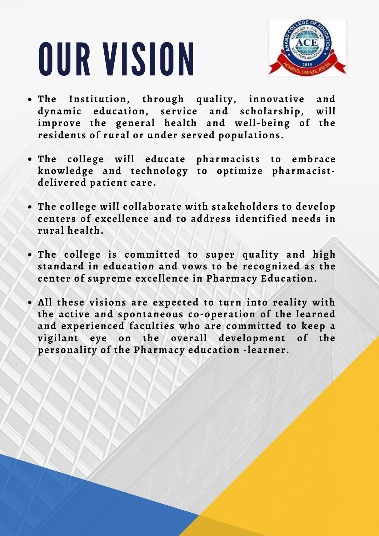# OUR VISION



- **The Institution, through quality, innovative and dynamic education, service and scholarship, will improve the general health and well-being of the residents of rural or under served populations.**
- **The college will educate pharmacists to embrace knowledge and technology to optimize pharmacistdelivered patient care.**
- **The college will collaborate with stakeholders to develop centers of excellence and to address identified needs in rural health.**
- **The college is committed to super quality and high standard in education and vows to be recognized as the center of supreme excellence in Pharmacy Education.**
- **All these visions are expected to turn into reality with the active and spontaneous co-operation of the learned and experienced faculties who are committed to keep a vigilant eye on the overall development of the personality of the Pharmacy education -learner.**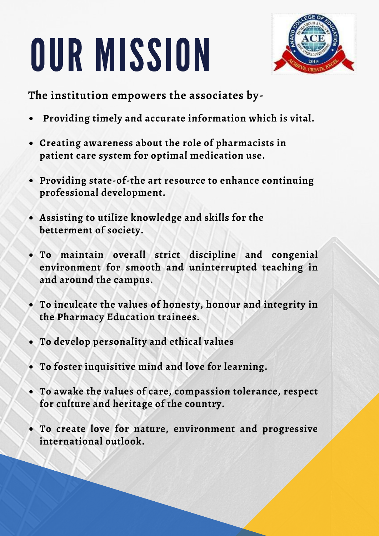# OUR MISSION



**The institution empowers the associates by-**

- **Providing timely and accurate information which is vital.**
- **Creating awareness about the role of pharmacists in patient care system for optimal medication use.**
- **Providing state-of-the art resource to enhance continuing professional development.**
- **Assisting to utilize knowledge and skills for the betterment of society.**
- **To maintain overall strict discipline and congenial environment for smooth and uninterrupted teaching in and around the campus.**
- **To inculcate the values of honesty, honour and integrity in the Pharmacy Education trainees.**
- **To develop personality and ethical values**
- **To foster inquisitive mind and love for learning.**
- **To awake the values of care, compassion tolerance, respect for culture and heritage of the country.**
- **To create love for nature, environment and progressive international outlook.**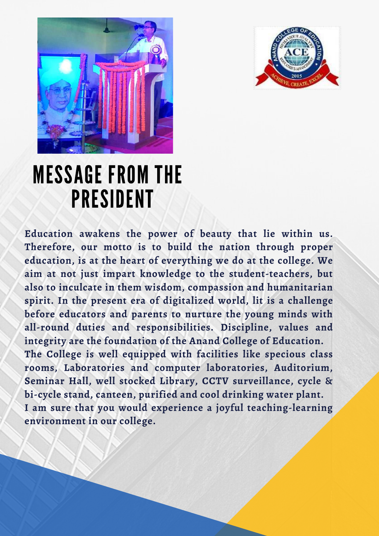



### MESSAGE FROM THE PRESIDENT

**Education awakens the power of beauty that lie within us. Therefore, our motto is to build the nation through proper education, is at the heart of everything we do at the college. We aim at not just impart knowledge to the student-teachers, but also to inculcate in them wisdom, compassion and humanitarian spirit. In the present era of digitalized world, lit is a challenge before educators and parents to nurture the young minds with all-round duties and responsibilities. Discipline, values and integrity are the foundation of the Anand College of Education. The College is well equipped with facilities like specious class rooms, Laboratories and computer laboratories, Auditorium, Seminar Hall, well stocked Library, CCTV surveillance, cycle & bi-cycle stand, canteen, purified and cool drinking water plant. I am sure that you would experience a joyful teaching-learning environment in our college.**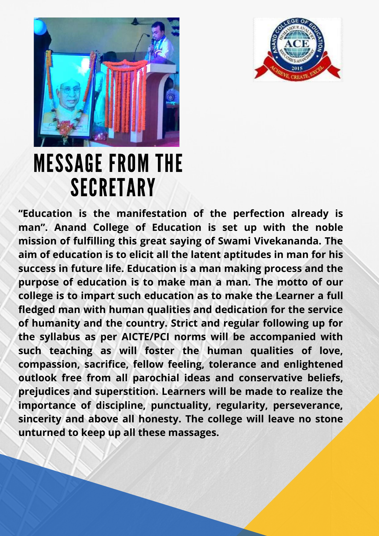



### MESSAGE FROM THE SECRETARY

**"Education is the manifestation of the perfection already is man". Anand College of Education is set up with the noble mission of fulfilling this great saying of Swami Vivekananda. The aim of education is to elicit all the latent aptitudes in man for his success in future life. Education is a man making process and the purpose of education is to make man a man. The motto of our college is to impart such education as to make the Learner a full fledged man with human qualities and dedication for the service of humanity and the country. Strict and regular following up for the syllabus as per AICTE/PCI norms will be accompanied with such teaching as will foster the human qualities of love, compassion, sacrifice, fellow feeling, tolerance and enlightened outlook free from all parochial ideas and conservative beliefs, prejudices and superstition. Learners will be made to realize the importance of discipline, punctuality, regularity, perseverance, sincerity and above all honesty. The college will leave no stone unturned to keep up all these massages.**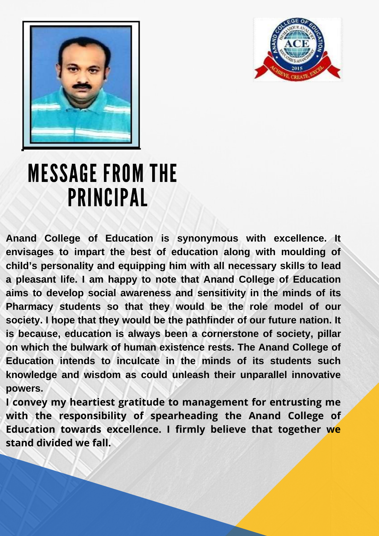



### MESSAGE FROM THE PRINCIPAL

**Anand College of Education is synonymous with excellence. It envisages to impart the best of education along with moulding of child's personality and equipping him with all necessary skills to lead a pleasant life. I am happy to note that Anand College of Education aims to develop social awareness and sensitivity in the minds of its Pharmacy students so that they would be the role model of our society. I hope that they would be the pathfinder of our future nation. It is because, education is always been a cornerstone of society, pillar on which the bulwark of human existence rests. The Anand College of Education intends to inculcate in the minds of its students such knowledge and wisdom as could unleash their unparallel innovative powers.**

**I convey my heartiest gratitude to management for entrusting me with the responsibility of spearheading the Anand College of Education towards excellence. I firmly believe that together we stand divided we fall.**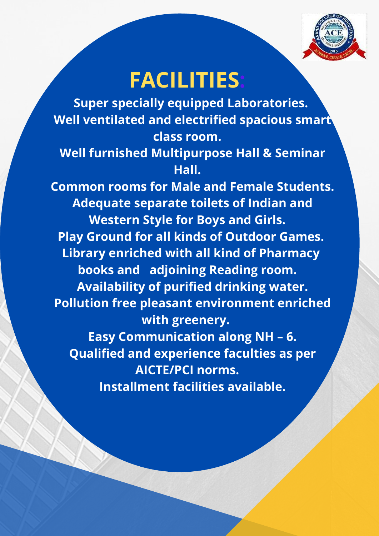

### **FACILITIES:**

 **Super specially equipped Laboratories. Well ventilated and electrified spacious smart class room.**

#### **Well furnished Multipurpose Hall & Seminar Hall.**

 **Common rooms for Male and Female Students. Adequate separate toilets of Indian and Western Style for Boys and Girls. Play Ground for all kinds of Outdoor Games. Library enriched with all kind of Pharmacy books and adjoining Reading room. Availability of purified drinking water. Pollution free pleasant environment enriched with greenery. Easy Communication along NH – 6. Qualified and experience faculties as per**

 **Installment facilities available.**

**AICTE/PCI norms.**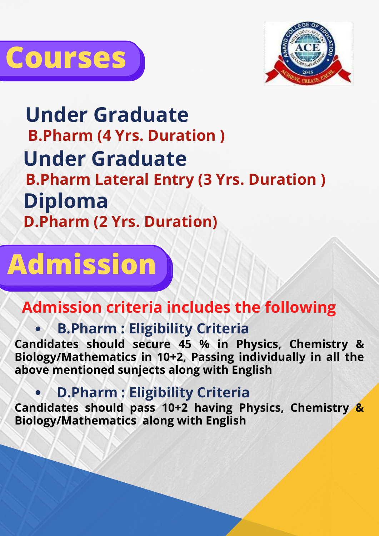



**Under Graduate B.Pharm (4 Yrs. Duration ) Diploma D.Pharm (2 Yrs. Duration) Under Graduate B.Pharm Lateral Entry (3 Yrs. Duration )**

# **Admission**

#### **Admission criteria includes the following**

#### **B.Pharm : Eligibility Criteria**

**Candidates should secure 45 % in Physics, Chemistry & Biology/Mathematics in 10+2, Passing individually in all the above mentioned sunjects along with English**

#### **D.Pharm : Eligibility Criteria**

**Candidates should pass 10+2 having Physics, Chemistry & Biology/Mathematics along with English**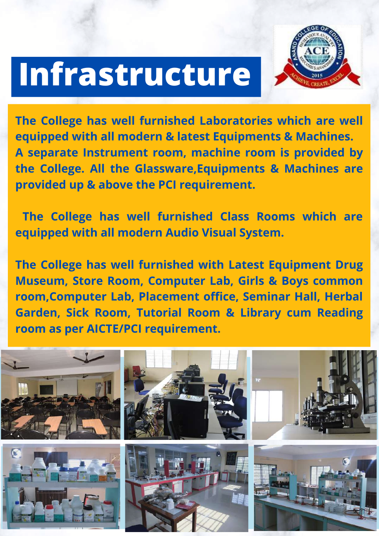# **Infrastructure**



**The College has well furnished Laboratories which are well equipped with all modern & latest Equipments & Machines. A separate Instrument room, machine room is provided by the College. All the Glassware,Equipments & Machines are provided up & above the PCI requirement.**

**The College has well furnished Class Rooms which are equipped with all modern Audio Visual System.**

**The College has well furnished with Latest Equipment Drug Museum, Store Room, Computer Lab, Girls & Boys common room,Computer Lab, Placement office, Seminar Hall, Herbal Garden, Sick Room, Tutorial Room & Library cum Reading room as per AICTE/PCI requirement.**

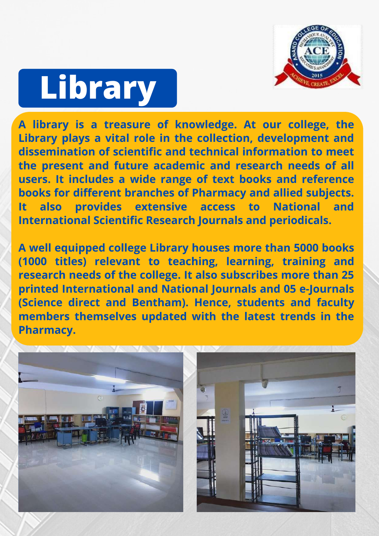

# **Library**

**A library is a treasure of knowledge. At our college, the Library plays a vital role in the collection, development and dissemination of scientific and technical information to meet the present and future academic and research needs of all users. It includes a wide range of text books and reference books for different branches of Pharmacy and allied subjects. It also provides extensive access to National and International Scientific Research Journals and periodicals.**

**A well equipped college Library houses more than 5000 books (1000 titles) relevant to teaching, learning, training and research needs of the college. It also subscribes more than 25 printed International and National Journals and 05 e-Journals (Science direct and Bentham). Hence, students and faculty members themselves updated with the latest trends in the Pharmacy.**

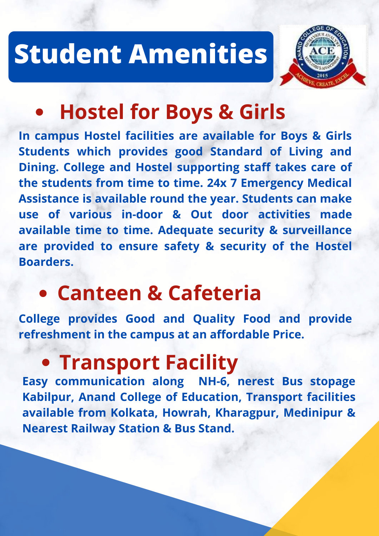## **Student Amenities**



### **Hostel for Boys & Girls**

**In campus Hostel facilities are available for Boys & Girls Students which provides good Standard of Living and Dining. College and Hostel supporting staff takes care of the students from time to time. 24x 7 Emergency Medical Assistance is available round the year. Students can make use of various in-door & Out door activities made available time to time. Adequate security & surveillance are provided to ensure safety & security of the Hostel Boarders.** 

### **Canteen & Cafeteria**

**College provides Good and Quality Food and provide refreshment in the campus at an affordable Price.**

### **Transport Facility**

**Easy communication along NH-6, nerest Bus stopage Kabilpur, Anand College of Education, Transport facilities available from Kolkata, Howrah, Kharagpur, Medinipur & Nearest Railway Station & Bus Stand.**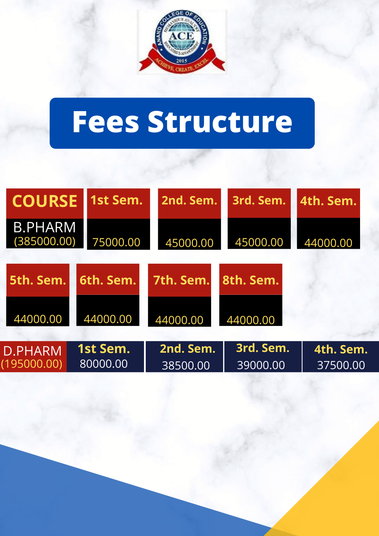

## **Fees Structure**